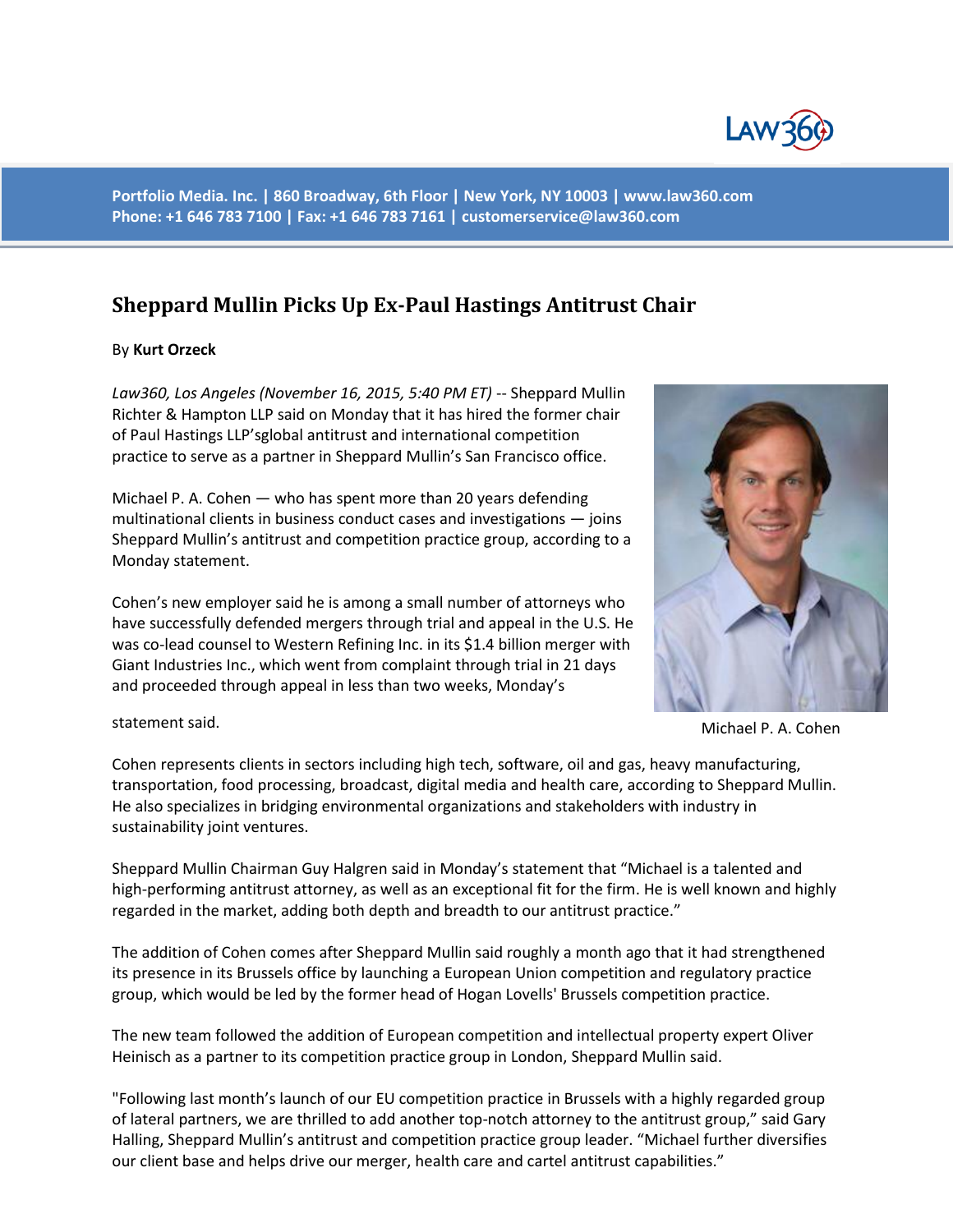

**Portfolio Media. Inc. | 860 Broadway, 6th Floor | New York, NY 10003 | www.law360.com Phone: +1 646 783 7100 | Fax: +1 646 783 7161 | [customerservice@law360.com](mailto:customerservice@law360.com)**

## **Sheppard Mullin Picks Up Ex-Paul Hastings Antitrust Chair**

## By **Kurt Orzeck**

*Law360, Los Angeles (November 16, 2015, 5:40 PM ET)* -- Sheppard Mullin Richter & Hampton LLP said on Monday that it has hired the former chair of Paul Hastings LLP'sglobal antitrust and international competition practice to serve as a partner in Sheppard Mullin's San Francisco office.

Michael P. A. Cohen — who has spent more than 20 years defending multinational clients in business conduct cases and investigations — joins Sheppard Mullin's antitrust and competition practice group, according to a Monday statement.

Cohen's new employer said he is among a small number of attorneys who have successfully defended mergers through trial and appeal in the U.S. He was co-lead counsel to Western Refining Inc. in its \$1.4 billion merger with Giant Industries Inc., which went from complaint through trial in 21 days and proceeded through appeal in less than two weeks, Monday's



Michael P. A. Cohen

statement said.

Cohen represents clients in sectors including high tech, software, oil and gas, heavy manufacturing, transportation, food processing, broadcast, digital media and health care, according to Sheppard Mullin. He also specializes in bridging environmental organizations and stakeholders with industry in sustainability joint ventures.

Sheppard Mullin Chairman Guy Halgren said in Monday's statement that "Michael is a talented and high-performing antitrust attorney, as well as an exceptional fit for the firm. He is well known and highly regarded in the market, adding both depth and breadth to our antitrust practice."

The addition of Cohen comes after Sheppard Mullin said roughly a month ago that it had strengthened its presence in its Brussels office by launching a European Union competition and regulatory practice group, which would be led by the former head of Hogan Lovells' Brussels competition practice.

The new team followed the addition of European competition and intellectual property expert Oliver Heinisch as a partner to its competition practice group in London, Sheppard Mullin said.

"Following last month's launch of our EU competition practice in Brussels with a highly regarded group of lateral partners, we are thrilled to add another top-notch attorney to the antitrust group," said Gary Halling, Sheppard Mullin's antitrust and competition practice group leader. "Michael further diversifies our client base and helps drive our merger, health care and cartel antitrust capabilities."